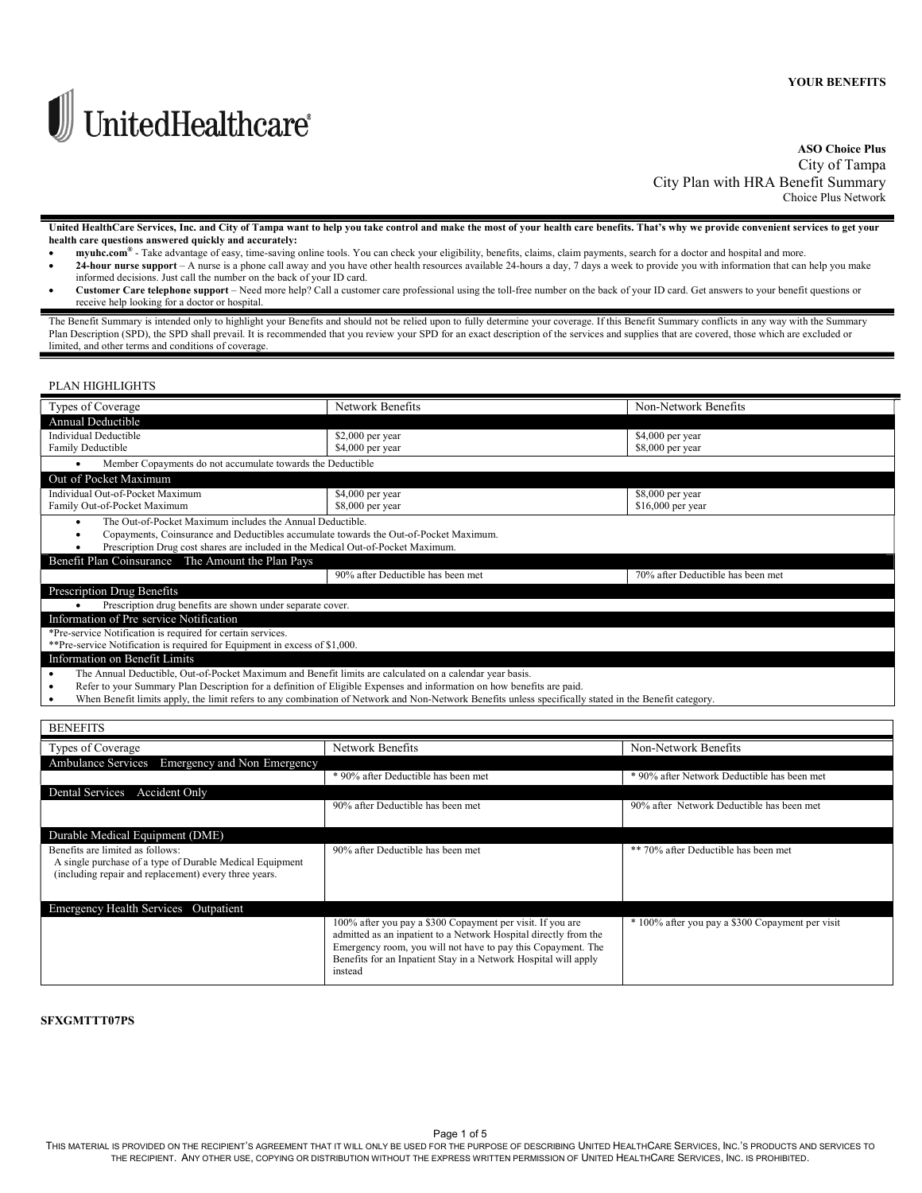

# ASO Choice Plus City of Tampa City Plan with HRA Benefit Summary Choice Plus Network

 United HealthCare Services, Inc. and City of Tampa want to help you take control and make the most of your health care benefits. That's why we provide convenient services to get your health care questions answered quickly and accurately:

- myuhc.com® Take advantage of easy, time-saving online tools. You can check your eligibility, benefits, claims, claim payments, search for a doctor and hospital and more.
- 24-hour nurse support A nurse is a phone call away and you have other health resources available 24-hours a day, 7 days a week to provide you with information that can help you make informed decisions. Just call the number on the back of your ID card.
- Customer Care telephone support Need more help? Call a customer care professional using the toll-free number on the back of your ID card. Get answers to your benefit questions or receive help looking for a doctor or hospital.

The Benefit Summary is intended only to highlight your Benefits and should not be relied upon to fully determine your coverage. If this Benefit Summary conflicts in any way with the Summary Plan Description (SPD), the SPD shall prevail. It is recommended that you review your SPD for an exact description of the services and supplies that are covered, those which are excluded or limited, and other terms and conditions of coverage.

## PLAN HIGHLIGHTS

| Types of Coverage                                                                                                                     | Network Benefits                                                                                                                                       | Non-Network Benefits                        |  |  |
|---------------------------------------------------------------------------------------------------------------------------------------|--------------------------------------------------------------------------------------------------------------------------------------------------------|---------------------------------------------|--|--|
| Annual Deductible                                                                                                                     |                                                                                                                                                        |                                             |  |  |
| <b>Individual Deductible</b>                                                                                                          | \$2,000 per year                                                                                                                                       | \$4,000 per year                            |  |  |
| Family Deductible                                                                                                                     | \$4,000 per year                                                                                                                                       | \$8,000 per year                            |  |  |
| Member Copayments do not accumulate towards the Deductible<br>$\bullet$                                                               |                                                                                                                                                        |                                             |  |  |
| Out of Pocket Maximum                                                                                                                 |                                                                                                                                                        |                                             |  |  |
| Individual Out-of-Pocket Maximum                                                                                                      | \$4,000 per year                                                                                                                                       | \$8,000 per year                            |  |  |
| Family Out-of-Pocket Maximum                                                                                                          | $$8,000$ per year                                                                                                                                      | $$16,000$ per year                          |  |  |
| The Out-of-Pocket Maximum includes the Annual Deductible.<br>$\bullet$                                                                |                                                                                                                                                        |                                             |  |  |
| Copayments, Coinsurance and Deductibles accumulate towards the Out-of-Pocket Maximum.<br>٠                                            |                                                                                                                                                        |                                             |  |  |
| Prescription Drug cost shares are included in the Medical Out-of-Pocket Maximum.<br>Benefit Plan Coinsurance The Amount the Plan Pays |                                                                                                                                                        |                                             |  |  |
|                                                                                                                                       | 90% after Deductible has been met                                                                                                                      | 70% after Deductible has been met           |  |  |
| Prescription Drug Benefits                                                                                                            |                                                                                                                                                        |                                             |  |  |
| Prescription drug benefits are shown under separate cover.                                                                            |                                                                                                                                                        |                                             |  |  |
| Information of Pre service Notification                                                                                               |                                                                                                                                                        |                                             |  |  |
| *Pre-service Notification is required for certain services.                                                                           |                                                                                                                                                        |                                             |  |  |
| **Pre-service Notification is required for Equipment in excess of \$1,000.                                                            |                                                                                                                                                        |                                             |  |  |
| Information on Benefit Limits                                                                                                         |                                                                                                                                                        |                                             |  |  |
| The Annual Deductible, Out-of-Pocket Maximum and Benefit limits are calculated on a calendar year basis.<br>$\bullet$                 |                                                                                                                                                        |                                             |  |  |
| $\bullet$                                                                                                                             | Refer to your Summary Plan Description for a definition of Eligible Expenses and information on how benefits are paid.                                 |                                             |  |  |
| $\bullet$                                                                                                                             | When Benefit limits apply, the limit refers to any combination of Network and Non-Network Benefits unless specifically stated in the Benefit category. |                                             |  |  |
| <b>BENEFITS</b>                                                                                                                       |                                                                                                                                                        |                                             |  |  |
|                                                                                                                                       |                                                                                                                                                        |                                             |  |  |
| Types of Coverage                                                                                                                     | Network Benefits                                                                                                                                       | Non-Network Benefits                        |  |  |
| Ambulance Services Emergency and Non Emergency                                                                                        |                                                                                                                                                        |                                             |  |  |
|                                                                                                                                       | * 90% after Deductible has been met                                                                                                                    | * 90% after Network Deductible has been met |  |  |
| Dental Services Accident Only                                                                                                         |                                                                                                                                                        |                                             |  |  |
|                                                                                                                                       | 90% after Deductible has been met                                                                                                                      | 90% after Network Deductible has been met   |  |  |
|                                                                                                                                       |                                                                                                                                                        |                                             |  |  |
| Durable Medical Equipment (DME)                                                                                                       |                                                                                                                                                        |                                             |  |  |
| Benefits are limited as follows:                                                                                                      | 90% after Deductible has been met                                                                                                                      | ** 70% after Deductible has been met        |  |  |
| A single purchase of a type of Durable Medical Equipment                                                                              |                                                                                                                                                        |                                             |  |  |
| (including repair and replacement) every three years.                                                                                 |                                                                                                                                                        |                                             |  |  |
|                                                                                                                                       |                                                                                                                                                        |                                             |  |  |

| Emergency Health Services Outpatient |                                                                                                                                                                                                                                                                              |                                                  |
|--------------------------------------|------------------------------------------------------------------------------------------------------------------------------------------------------------------------------------------------------------------------------------------------------------------------------|--------------------------------------------------|
|                                      | 100% after you pay a \$300 Copayment per visit. If you are<br>admitted as an inpatient to a Network Hospital directly from the<br>Emergency room, you will not have to pay this Copayment. The<br>Benefits for an Inpatient Stay in a Network Hospital will apply<br>instead | * 100% after you pay a \$300 Copayment per visit |

## SFXGMTTT07PS

Page 1 of 5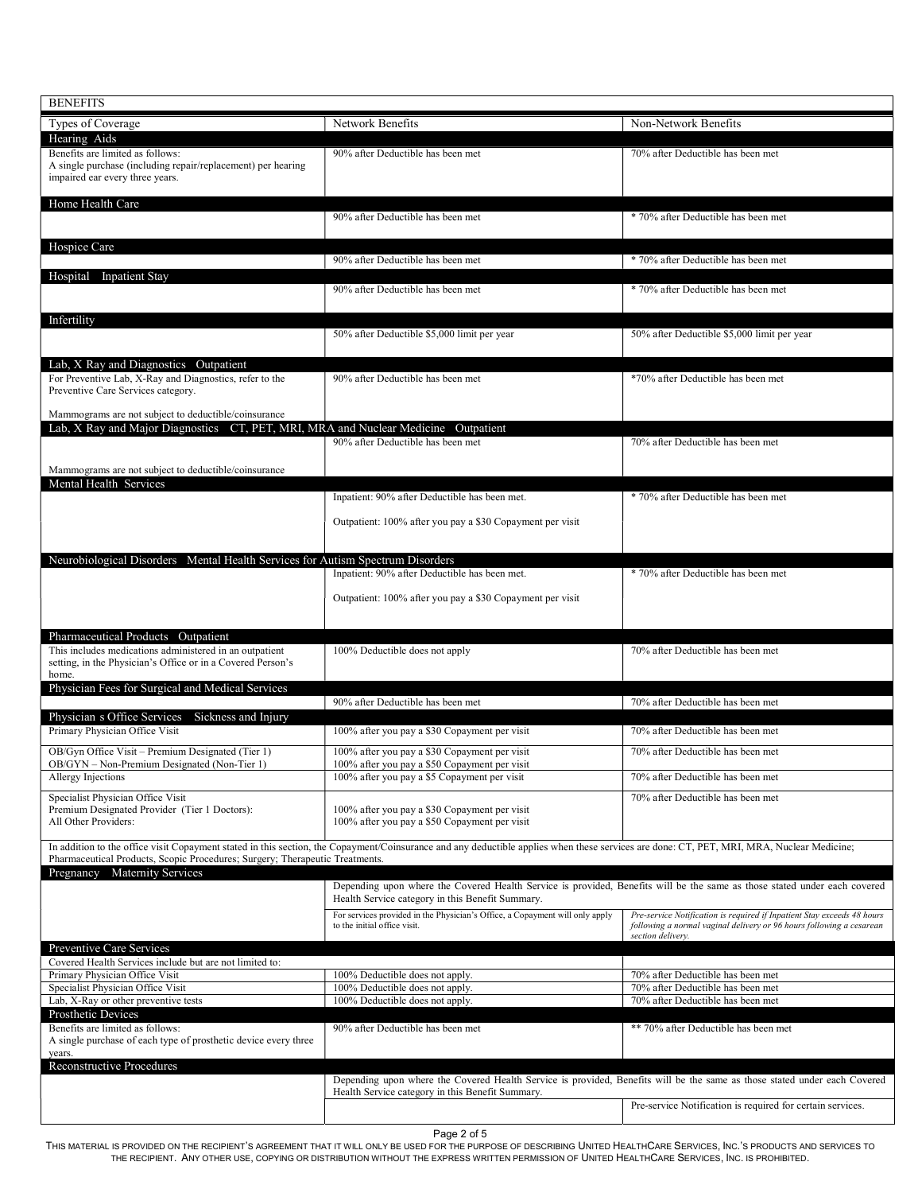| <b>BENEFITS</b>                                                                                                                                     |                                                                                                                                                                                           |                                                                                                                                                                      |
|-----------------------------------------------------------------------------------------------------------------------------------------------------|-------------------------------------------------------------------------------------------------------------------------------------------------------------------------------------------|----------------------------------------------------------------------------------------------------------------------------------------------------------------------|
| Types of Coverage                                                                                                                                   | Network Benefits                                                                                                                                                                          | Non-Network Benefits                                                                                                                                                 |
| Hearing Aids<br>Benefits are limited as follows:<br>A single purchase (including repair/replacement) per hearing<br>impaired ear every three years. | 90% after Deductible has been met                                                                                                                                                         | 70% after Deductible has been met                                                                                                                                    |
| Home Health Care                                                                                                                                    |                                                                                                                                                                                           |                                                                                                                                                                      |
|                                                                                                                                                     | 90% after Deductible has been met                                                                                                                                                         | * 70% after Deductible has been met                                                                                                                                  |
| Hospice Care                                                                                                                                        | 90% after Deductible has been met                                                                                                                                                         | * 70% after Deductible has been met                                                                                                                                  |
| Hospital Inpatient Stay                                                                                                                             |                                                                                                                                                                                           |                                                                                                                                                                      |
|                                                                                                                                                     | 90% after Deductible has been met                                                                                                                                                         | * 70% after Deductible has been met                                                                                                                                  |
| Infertility                                                                                                                                         | 50% after Deductible \$5,000 limit per year                                                                                                                                               | 50% after Deductible \$5,000 limit per year                                                                                                                          |
| Lab, X Ray and Diagnostics Outpatient<br>For Preventive Lab, X-Ray and Diagnostics, refer to the<br>Preventive Care Services category.              | 90% after Deductible has been met                                                                                                                                                         | *70% after Deductible has been met                                                                                                                                   |
| Mammograms are not subject to deductible/coinsurance<br>Lab, X Ray and Major Diagnostics CT, PET, MRI, MRA and Nuclear Medicine Outpatient          |                                                                                                                                                                                           |                                                                                                                                                                      |
|                                                                                                                                                     | 90% after Deductible has been met                                                                                                                                                         | 70% after Deductible has been met                                                                                                                                    |
| Mammograms are not subject to deductible/coinsurance<br>Mental Health Services                                                                      |                                                                                                                                                                                           |                                                                                                                                                                      |
|                                                                                                                                                     | Inpatient: 90% after Deductible has been met.                                                                                                                                             | * 70% after Deductible has been met                                                                                                                                  |
|                                                                                                                                                     | Outpatient: 100% after you pay a \$30 Copayment per visit                                                                                                                                 |                                                                                                                                                                      |
| Neurobiological Disorders Mental Health Services for Autism Spectrum Disorders                                                                      |                                                                                                                                                                                           |                                                                                                                                                                      |
|                                                                                                                                                     | Inpatient: 90% after Deductible has been met.                                                                                                                                             | * 70% after Deductible has been met                                                                                                                                  |
|                                                                                                                                                     | Outpatient: 100% after you pay a \$30 Copayment per visit                                                                                                                                 |                                                                                                                                                                      |
| Pharmaceutical Products Outpatient                                                                                                                  |                                                                                                                                                                                           |                                                                                                                                                                      |
| This includes medications administered in an outpatient<br>setting, in the Physician's Office or in a Covered Person's<br>home.                     | 100% Deductible does not apply                                                                                                                                                            | 70% after Deductible has been met                                                                                                                                    |
| Physician Fees for Surgical and Medical Services                                                                                                    | 90% after Deductible has been met                                                                                                                                                         | 70% after Deductible has been met                                                                                                                                    |
| Physician s Office Services<br>Sickness and Injury                                                                                                  |                                                                                                                                                                                           |                                                                                                                                                                      |
| Primary Physician Office Visit                                                                                                                      | 100% after you pay a \$30 Copayment per visit                                                                                                                                             | 70% after Deductible has been met                                                                                                                                    |
| OB/Gyn Office Visit - Premium Designated (Tier 1)<br>OB/GYN - Non-Premium Designated (Non-Tier 1)                                                   | 100% after you pay a \$30 Copayment per visit<br>100% after you pay a \$50 Copayment per visit                                                                                            | 70% after Deductible has been met                                                                                                                                    |
| Allergy Injections                                                                                                                                  | 100% after you pay a \$5 Copayment per visit                                                                                                                                              | 70% after Deductible has been met                                                                                                                                    |
| Specialist Physician Office Visit<br>Premium Designated Provider (Tier 1 Doctors):<br>All Other Providers:                                          | 100% after you pay a \$30 Copayment per visit<br>100% after you pay a \$50 Copayment per visit                                                                                            | 70% after Deductible has been met                                                                                                                                    |
| Pharmaceutical Products, Scopic Procedures; Surgery; Therapeutic Treatments.                                                                        | In addition to the office visit Copayment stated in this section, the Copayment/Coinsurance and any deductible applies when these services are done: CT, PET, MRI, MRA, Nuclear Medicine; |                                                                                                                                                                      |
| Pregnancy Maternity Services                                                                                                                        | Depending upon where the Covered Health Service is provided, Benefits will be the same as those stated under each covered<br>Health Service category in this Benefit Summary.             |                                                                                                                                                                      |
|                                                                                                                                                     | For services provided in the Physician's Office, a Copayment will only apply<br>to the initial office visit.                                                                              | Pre-service Notification is required if Inpatient Stay exceeds 48 hours<br>following a normal vaginal delivery or 96 hours following a cesarean<br>section delivery. |
| Preventive Care Services<br>Covered Health Services include but are not limited to:                                                                 |                                                                                                                                                                                           |                                                                                                                                                                      |
| Primary Physician Office Visit<br>Specialist Physician Office Visit                                                                                 | 100% Deductible does not apply.<br>100% Deductible does not apply.                                                                                                                        | 70% after Deductible has been met<br>70% after Deductible has been met                                                                                               |
| Lab, X-Ray or other preventive tests                                                                                                                | 100% Deductible does not apply.                                                                                                                                                           | 70% after Deductible has been met                                                                                                                                    |
| Prosthetic Devices<br>Benefits are limited as follows:<br>A single purchase of each type of prosthetic device every three                           | 90% after Deductible has been met                                                                                                                                                         | ** 70% after Deductible has been met                                                                                                                                 |
| years.<br>Reconstructive Procedures                                                                                                                 |                                                                                                                                                                                           |                                                                                                                                                                      |
|                                                                                                                                                     | Depending upon where the Covered Health Service is provided, Benefits will be the same as those stated under each Covered<br>Health Service category in this Benefit Summary.             |                                                                                                                                                                      |
|                                                                                                                                                     |                                                                                                                                                                                           | Pre-service Notification is required for certain services.                                                                                                           |

Page 2 of 5<br>MATERIAL IS PROVIDED ON THE RECIPIENT'S AGREEMENT THAT IT WILL ONLY BE USED FOR THE PURI THE RECIPIENT. ANY OTHER USE, COPYING OR DISTRIBUTION WITHOUT THE EXPRESS WRITTEN PERMISSION OF UNITED HEALTHCARE SERVICES, INC. IS PROHIBITED.THIS MATERIAL IS PROVIDED ON THE RECIPIENT'S AGREEMENT THAT IT WILL ONLY BE USED FOR THE PURPOSE OF DESCRIBING UNITED HEALTHCARE SERVICES, INC.'S PRODUCTS AND SERVICES TO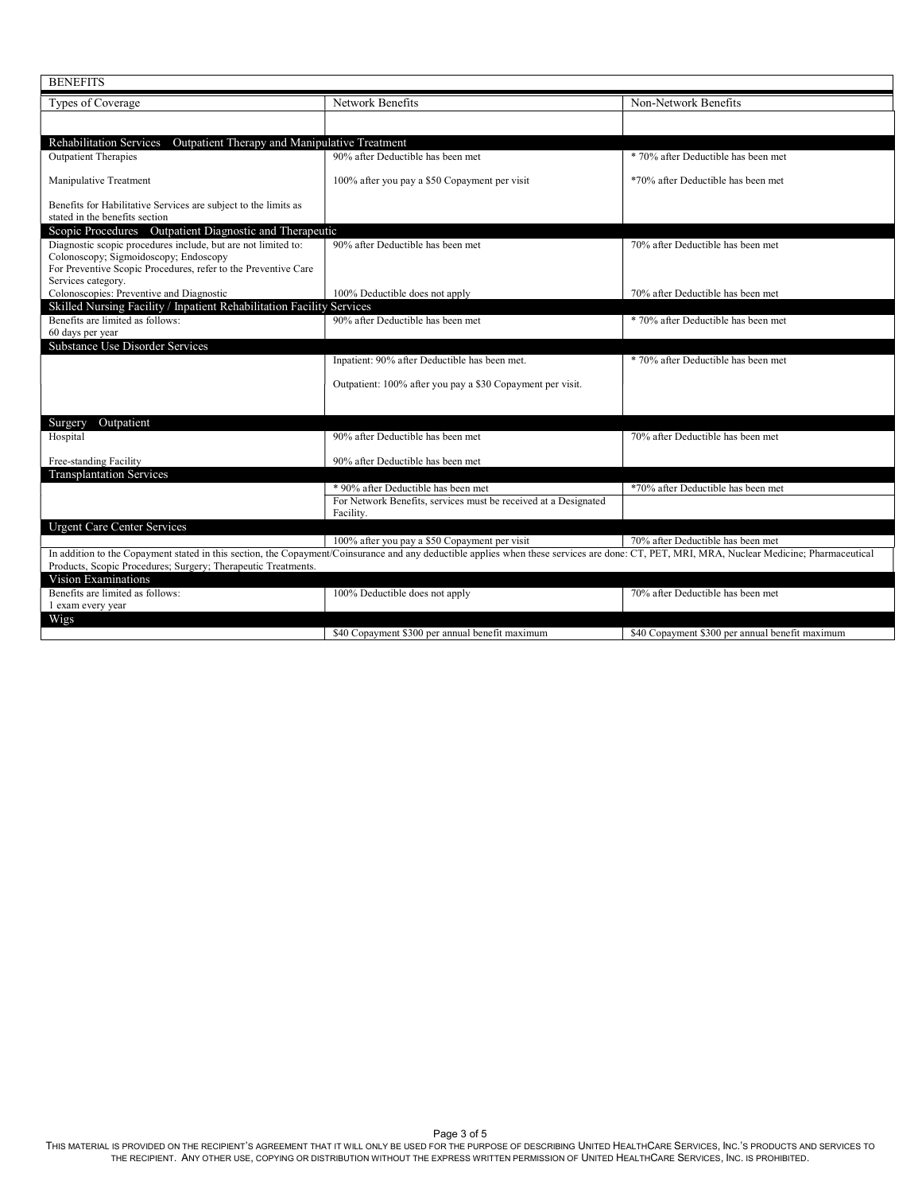| <b>BENEFITS</b>                                                                                                                                                   |                                                                                                                                                                                             |                                                 |
|-------------------------------------------------------------------------------------------------------------------------------------------------------------------|---------------------------------------------------------------------------------------------------------------------------------------------------------------------------------------------|-------------------------------------------------|
| Types of Coverage                                                                                                                                                 | Network Benefits                                                                                                                                                                            | Non-Network Benefits                            |
|                                                                                                                                                                   |                                                                                                                                                                                             |                                                 |
| <b>Rehabilitation Services</b><br>Outpatient Therapy and Manipulative Treatment                                                                                   |                                                                                                                                                                                             |                                                 |
| <b>Outpatient Therapies</b>                                                                                                                                       | 90% after Deductible has been met                                                                                                                                                           | * 70% after Deductible has been met             |
| Manipulative Treatment                                                                                                                                            | 100% after you pay a \$50 Copayment per visit                                                                                                                                               | *70% after Deductible has been met              |
| Benefits for Habilitative Services are subject to the limits as<br>stated in the benefits section                                                                 |                                                                                                                                                                                             |                                                 |
| Scopic Procedures Outpatient Diagnostic and Therapeutic<br>Diagnostic scopic procedures include, but are not limited to:<br>Colonoscopy; Sigmoidoscopy; Endoscopy | 90% after Deductible has been met                                                                                                                                                           | 70% after Deductible has been met               |
| For Preventive Scopic Procedures, refer to the Preventive Care<br>Services category.<br>Colonoscopies: Preventive and Diagnostic                                  | 100% Deductible does not apply                                                                                                                                                              | 70% after Deductible has been met               |
| Skilled Nursing Facility / Inpatient Rehabilitation Facility Services<br>Benefits are limited as follows:                                                         | 90% after Deductible has been met                                                                                                                                                           | * 70% after Deductible has been met             |
| 60 days per year                                                                                                                                                  |                                                                                                                                                                                             |                                                 |
| <b>Substance Use Disorder Services</b>                                                                                                                            |                                                                                                                                                                                             |                                                 |
|                                                                                                                                                                   | Inpatient: 90% after Deductible has been met.                                                                                                                                               | * 70% after Deductible has been met             |
|                                                                                                                                                                   | Outpatient: 100% after you pay a \$30 Copayment per visit.                                                                                                                                  |                                                 |
|                                                                                                                                                                   |                                                                                                                                                                                             |                                                 |
| Outpatient<br>Surgery<br>Hospital                                                                                                                                 | 90% after Deductible has been met                                                                                                                                                           | 70% after Deductible has been met               |
| Free-standing Facility                                                                                                                                            | 90% after Deductible has been met                                                                                                                                                           |                                                 |
| <b>Transplantation Services</b>                                                                                                                                   |                                                                                                                                                                                             |                                                 |
|                                                                                                                                                                   | * 90% after Deductible has been met                                                                                                                                                         | *70% after Deductible has been met              |
|                                                                                                                                                                   | For Network Benefits, services must be received at a Designated<br>Facility.                                                                                                                |                                                 |
| <b>Urgent Care Center Services</b>                                                                                                                                |                                                                                                                                                                                             |                                                 |
|                                                                                                                                                                   | 100% after you pay a \$50 Copayment per visit                                                                                                                                               | 70% after Deductible has been met               |
| Products, Scopic Procedures; Surgery; Therapeutic Treatments.                                                                                                     | In addition to the Copayment stated in this section, the Copayment/Coinsurance and any deductible applies when these services are done: CT, PET, MRI, MRA, Nuclear Medicine; Pharmaceutical |                                                 |
| Vision Examinations                                                                                                                                               |                                                                                                                                                                                             |                                                 |
| Benefits are limited as follows:<br>1 exam every year                                                                                                             | 100% Deductible does not apply                                                                                                                                                              | 70% after Deductible has been met               |
| Wigs                                                                                                                                                              |                                                                                                                                                                                             |                                                 |
|                                                                                                                                                                   | \$40 Copayment \$300 per annual benefit maximum                                                                                                                                             | \$40 Copayment \$300 per annual benefit maximum |

Page 3 of 5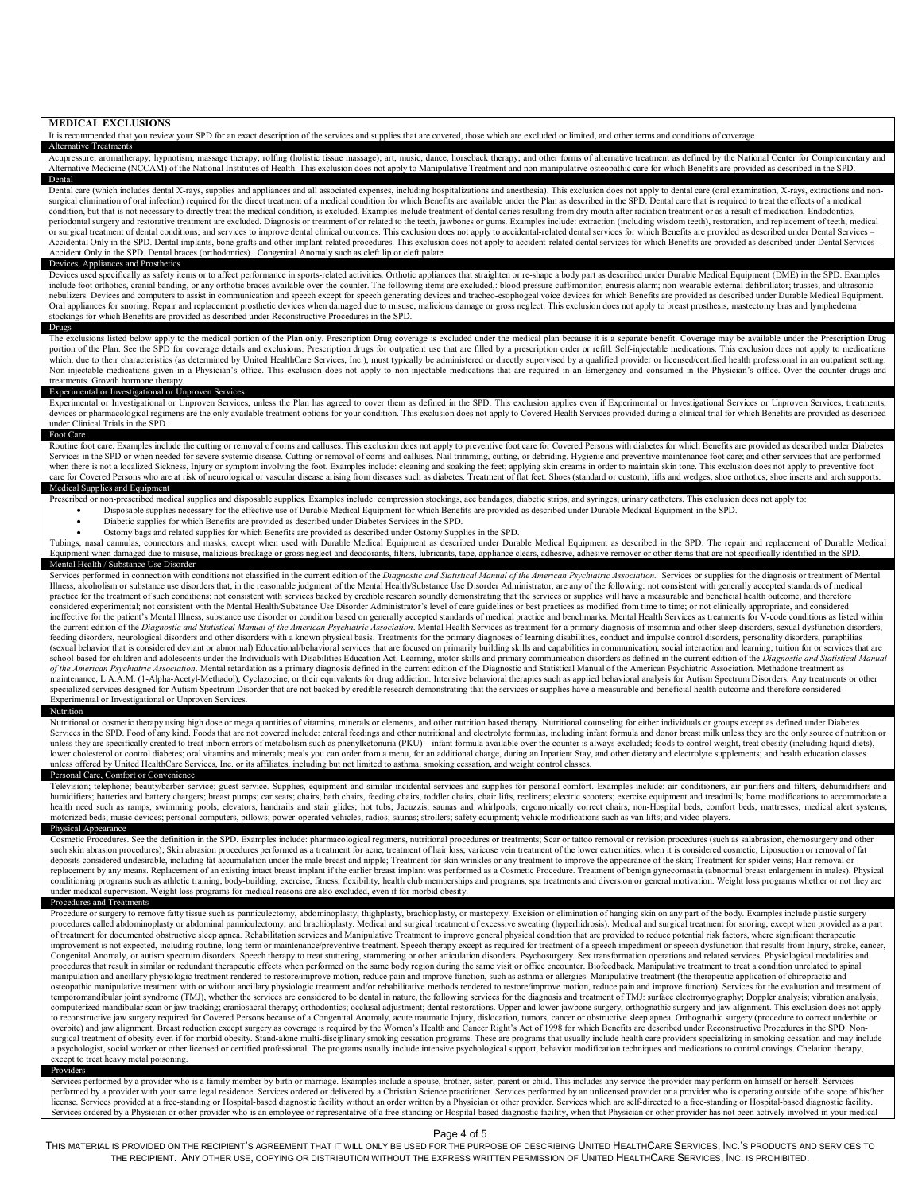| <b>MEDICAL EXCLUSIONS</b><br>It is recommended that you review your SPD for an exact description of the services and supplies that are covered, those which are excluded or limited, and other terms and conditions of coverage.                                                                                                                                                                                                                                                                                                                                                                                                                                                                                                                                                                                                                                                                                                                                                                                                                                                                                                                                                                                                                                                                                                                                                                                                                                                                                                                                                                                                                                                                                                                                                                                                                                                                                                                                                                                                                                                                                                                                                                                                                                                                                                                                                                                                                                                                                                                                                                                                                                                                                                                                                                                                                                                                                                                                                                                                                                                                                                                                                                                                                                                                                                        |
|-----------------------------------------------------------------------------------------------------------------------------------------------------------------------------------------------------------------------------------------------------------------------------------------------------------------------------------------------------------------------------------------------------------------------------------------------------------------------------------------------------------------------------------------------------------------------------------------------------------------------------------------------------------------------------------------------------------------------------------------------------------------------------------------------------------------------------------------------------------------------------------------------------------------------------------------------------------------------------------------------------------------------------------------------------------------------------------------------------------------------------------------------------------------------------------------------------------------------------------------------------------------------------------------------------------------------------------------------------------------------------------------------------------------------------------------------------------------------------------------------------------------------------------------------------------------------------------------------------------------------------------------------------------------------------------------------------------------------------------------------------------------------------------------------------------------------------------------------------------------------------------------------------------------------------------------------------------------------------------------------------------------------------------------------------------------------------------------------------------------------------------------------------------------------------------------------------------------------------------------------------------------------------------------------------------------------------------------------------------------------------------------------------------------------------------------------------------------------------------------------------------------------------------------------------------------------------------------------------------------------------------------------------------------------------------------------------------------------------------------------------------------------------------------------------------------------------------------------------------------------------------------------------------------------------------------------------------------------------------------------------------------------------------------------------------------------------------------------------------------------------------------------------------------------------------------------------------------------------------------------------------------------------------------------------------------------------------------|
| <b>Alternative Treatments</b>                                                                                                                                                                                                                                                                                                                                                                                                                                                                                                                                                                                                                                                                                                                                                                                                                                                                                                                                                                                                                                                                                                                                                                                                                                                                                                                                                                                                                                                                                                                                                                                                                                                                                                                                                                                                                                                                                                                                                                                                                                                                                                                                                                                                                                                                                                                                                                                                                                                                                                                                                                                                                                                                                                                                                                                                                                                                                                                                                                                                                                                                                                                                                                                                                                                                                                           |
| Acupressure; aromatherapy; hypnotism; massage therapy; rolfing (holistic tissue massage); art, music, dance, horseback therapy; and other forms of alternative treatment as defined by the National Center for Complementary a<br>Alternative Medicine (NCCAM) of the National Institutes of Health. This exclusion does not apply to Manipulative Treatment and non-manipulative osteopathic care for which Benefits are provided as described in the SPD.<br>Dental                                                                                                                                                                                                                                                                                                                                                                                                                                                                                                                                                                                                                                                                                                                                                                                                                                                                                                                                                                                                                                                                                                                                                                                                                                                                                                                                                                                                                                                                                                                                                                                                                                                                                                                                                                                                                                                                                                                                                                                                                                                                                                                                                                                                                                                                                                                                                                                                                                                                                                                                                                                                                                                                                                                                                                                                                                                                   |
| Dental care (which includes dental X-rays, supplies and appliances and all associated expenses, including hospitalizations and anesthesia). This exclusion does not apply to dental care (oral examination, X-rays, extraction<br>surgical elimination of oral infection) required for the direct treatment of a medical condition for which Benefits are available under the Plan as described in the SPD. Dental care that is required to treat the effects of<br>condition, but that is not necessary to directly treat the medical condition, is excluded. Examples include treatment of dental caries resulting from dry mouth after radiation treatment or as a result of medication. Endodo<br>periodontal surgery and restorative treatment are excluded. Diagnosis or treatment of or related to the teeth, jawbones or gums. Examples include: extraction (including wisdom teeth), restoration, and replacement of teeth;<br>or surgical treatment of dental conditions; and services to improve dental clinical outcomes. This exclusion does not apply to accidental-related dental services for which Benefits are provided as described under Dental Se<br>Accidental Only in the SPD. Dental implants, bone grafts and other implant-related procedures. This exclusion does not apply to accident-related dental services for which Benefits are provided as described under Dental Ser<br>Accident Only in the SPD. Dental braces (orthodontics). Congenital Anomaly such as cleft lip or cleft palate.                                                                                                                                                                                                                                                                                                                                                                                                                                                                                                                                                                                                                                                                                                                                                                                                                                                                                                                                                                                                                                                                                                                                                                                                                                                                                                                                                                                                                                                                                                                                                                                                                                                                                                                                                                                                               |
| Devices, Appliances and Prosthetics<br>Devices used specifically as safety items or to affect performance in sports-related activities. Orthotic appliances that straighten or re-shape a body part as described under Durable Medical Equipment (DME) in the SPD. Ex<br>include foot orthotics, cranial banding, or any orthotic braces available over-the-counter. The following items are excluded, blood pressure cuff/monitor; enuresis alarm; non-wearable external defibrillator; trusses; and u<br>nebulizers. Devices and computers to assist in communication and speech except for speech generating devices and tracheo-esophogeal voice devices for which Benefits are provided as described under Durable Medical Equipment<br>Oral appliances for snoring. Repair and replacement prosthetic devices when damaged due to misuse, malicious damage or gross neglect. This exclusion does not apply to breast prosthesis, mastectomy bras and lymphedema<br>stockings for which Benefits are provided as described under Reconstructive Procedures in the SPD.<br>Drugs                                                                                                                                                                                                                                                                                                                                                                                                                                                                                                                                                                                                                                                                                                                                                                                                                                                                                                                                                                                                                                                                                                                                                                                                                                                                                                                                                                                                                                                                                                                                                                                                                                                                                                                                                                                                                                                                                                                                                                                                                                                                                                                                                                                                                                                    |
| The exclusions listed below apply to the medical portion of the Plan only. Prescription Drug coverage is excluded under the medical plan because it is a separate benefit. Coverage may be available under the Prescription Dr<br>portion of the Plan. See the SPD for coverage details and exclusions. Prescription drugs for outpatient use that are filled by a prescription order or refill. Self-injectable medications. This exclusion does not apply to m<br>which, due to their characteristics (as determined by United HealthCare Services, Inc.), must typically be administered or directly supervised by a qualified provider or licensed/certified health professional in an outpati<br>Non-injectable medications given in a Physician's office. This exclusion does not apply to non-injectable medications that are required in an Emergency and consumed in the Physician's office. Over-the-counter drugs and<br>treatments. Growth hormone therapy.                                                                                                                                                                                                                                                                                                                                                                                                                                                                                                                                                                                                                                                                                                                                                                                                                                                                                                                                                                                                                                                                                                                                                                                                                                                                                                                                                                                                                                                                                                                                                                                                                                                                                                                                                                                                                                                                                                                                                                                                                                                                                                                                                                                                                                                                                                                                                                 |
| Experimental or Investigational or Unproven Services<br>Experimental or Investigational or Unproven Services, unless the Plan has agreed to cover them as defined in the SPD. This exclusion applies even if Experimental or Investigational Services or Unproven Services, treatments<br>devices or pharmacological regimens are the only available treatment options for your condition. This exclusion does not apply to Covered Health Services provided during a clinical trial for which Benefits are provided as<br>under Clinical Trials in the SPD.                                                                                                                                                                                                                                                                                                                                                                                                                                                                                                                                                                                                                                                                                                                                                                                                                                                                                                                                                                                                                                                                                                                                                                                                                                                                                                                                                                                                                                                                                                                                                                                                                                                                                                                                                                                                                                                                                                                                                                                                                                                                                                                                                                                                                                                                                                                                                                                                                                                                                                                                                                                                                                                                                                                                                                            |
| Foot Care<br>Routine foot care. Examples include the cutting or removal of corns and calluses. This exclusion does not apply to preventive foot care for Covered Persons with diabetes for which Benefits are provided as described under D<br>Services in the SPD or when needed for severe systemic disease. Cutting or removal of corns and calluses. Nail trimming, cutting, or debriding. Hygienic and preventive maintenance foot care; and other services that are per<br>when there is not a localized Sickness, Injury or symptom involving the foot. Examples include: cleaning and soaking the feet; applying skin creams in order to maintain skin tone. This exclusion does not apply to preventiv<br>care for Covered Persons who are at risk of neurological or vascular disease arising from diseases such as diabetes. Treatment of flat feet. Shoes (standard or custom), lifts and wedges; shoe orthotics; shoe inserts and ar                                                                                                                                                                                                                                                                                                                                                                                                                                                                                                                                                                                                                                                                                                                                                                                                                                                                                                                                                                                                                                                                                                                                                                                                                                                                                                                                                                                                                                                                                                                                                                                                                                                                                                                                                                                                                                                                                                                                                                                                                                                                                                                                                                                                                                                                                                                                                                                       |
| Medical Supplies and Equipment<br>Prescribed or non-prescribed medical supplies and disposable supplies. Examples include: compression stockings, ace bandages, diabetic strips, and syringes; urinary catheters. This exclusion does not apply to:<br>Disposable supplies necessary for the effective use of Durable Medical Equipment for which Benefits are provided as described under Durable Medical Equipment in the SPD.<br>Diabetic supplies for which Benefits are provided as described under Diabetes Services in the SPD.<br>Ostomy bags and related supplies for which Benefits are provided as described under Ostomy Supplies in the SPD.<br>Tubings, nasal cannulas, connectors and masks, except when used with Durable Medical Equipment as described under Durable Medical Equipment as described in the SPD. The repair and replacement of Durable Medical<br>Equipment when damaged due to misuse, malicious breakage or gross neglect and deodorants, filters, lubricants, tape, appliance clears, adhesive, adhesive remover or other items that are not specifically identified in the S<br>Mental Health / Substance Use Disorder                                                                                                                                                                                                                                                                                                                                                                                                                                                                                                                                                                                                                                                                                                                                                                                                                                                                                                                                                                                                                                                                                                                                                                                                                                                                                                                                                                                                                                                                                                                                                                                                                                                                                                                                                                                                                                                                                                                                                                                                                                                                                                                                                                             |
| Services performed in connection with conditions not classified in the current edition of the Diagnostic and Statistical Manual of the American Psychiatric Association. Services or supplies for the diagnosis or treatment o<br>Illness, alcoholism or substance use disorders that, in the reasonable judgment of the Mental Health/Substance Use Disorder Administrator, are any of the following: not consistent with generally accepted standards of medic<br>practice for the treatment of such conditions; not consistent with services backed by credible research soundly demonstrating that the services or supplies will have a measurable and beneficial health outcome, and therefor<br>considered experimental; not consistent with the Mental Health/Substance Use Disorder Administrator's level of care guidelines or best practices as modified from time to time; or not clinically appropriate, and considered<br>ineffective for the patient's Mental Illness, substance use disorder or condition based on generally accepted standards of medical practice and benchmarks. Mental Health Services as treatments for V-code conditions as list<br>the current edition of the Diagnostic and Statistical Manual of the American Psychiatric Association. Mental Health Services as treatment for a primary diagnosis of insomnia and other sleep disorders, sexual dysfunction di<br>feeding disorders, neurological disorders and other disorders with a known physical basis. Treatments for the primary diagnoses of learning disabilities, conduct and impulse control disorders, personality disorders, paraph<br>(sexual behavior that is considered deviant or abnormal) Educational/behavioral services that are focused on primarily building skills and capabilities in communication, social interaction and learning; tuition for or serv<br>school-based for children and adolescents under the Individuals with Disabilities Education Act. Learning, motor skills and primary communication disorders as defined in the current edition of the Diagnostic and Statistica<br>of the American Psychiatric Association. Mental retardation as a primary diagnosis defined in the current edition of the Diagnostic and Statistical Manual of the American Psychiatric Association. Methadone treatment as<br>maintenance, L.A.A.M. (1-Alpha-Acetyl-Methadol), Cyclazocine, or their equivalents for drug addiction. Intensive behavioral therapies such as applied behavioral analysis for Autism Spectrum Disorders. Any treatments or oth<br>specialized services designed for Autism Spectrum Disorder that are not backed by credible research demonstrating that the services or supplies have a measurable and beneficial health outcome and therefore considered<br>Experimental or Investigational or Unproven Services.<br>Nutrition                                                                                                                                                                                                                                                                                                                                                                                                                                                         |
| Nutritional or cosmetic therapy using high dose or mega quantities of vitamins, minerals or elements, and other nutrition based therapy. Nutritional counseling for either individuals or groups except as defined under Diabe<br>Services in the SPD. Food of any kind. Foods that are not covered include: enteral feedings and other nutritional and electrolyte formulas, including infant formula and donor breast milk unless they are the only source of<br>unless they are specifically created to treat inborn errors of metabolism such as phenylketonuria (PKU) - infant formula available over the counter is always excluded; foods to control weight, treat obesity (including liqu<br>lower cholesterol or control diabetes; oral vitamins and minerals; meals you can order from a menu, for an additional charge, during an Inpatient Stay, and other dietary and electrolyte supplements; and health education cl<br>unless offered by United HealthCare Services, Inc. or its affiliates, including but not limited to asthma, smoking cessation, and weight control classes.                                                                                                                                                                                                                                                                                                                                                                                                                                                                                                                                                                                                                                                                                                                                                                                                                                                                                                                                                                                                                                                                                                                                                                                                                                                                                                                                                                                                                                                                                                                                                                                                                                                                                                                                                                                                                                                                                                                                                                                                                                                                                                                                                                                                                                        |
| Personal Care, Comfort or Convenience<br>Television; telephone; beauty/barber service; guest service. Supplies, equipment and similar incidental services and supplies for personal comfort. Examples include: air conditioners, air purifiers and filters, dehumidifie<br>humidifiers; batteries and battery chargers; breast pumps; car seats; chairs, bath chairs, feeding chairs, toddler chairs, chair lifts, recliners; electric scooters; exercise equipment and treadmills; home modifications to<br>health need such as ramps, swimming pools, elevators, handrails and stair glides; hot tubs; Jacuzzis, saunas and whirlpools; ergonomically correct chairs, non-Hospital beds, comfort beds, mattresses; medical alert systems;<br>motorized beds; music devices; personal computers, pillows; power-operated vehicles; radios; saunas; strollers; safety equipment; vehicle modifications such as van lifts; and video players.<br>Physical Appearance                                                                                                                                                                                                                                                                                                                                                                                                                                                                                                                                                                                                                                                                                                                                                                                                                                                                                                                                                                                                                                                                                                                                                                                                                                                                                                                                                                                                                                                                                                                                                                                                                                                                                                                                                                                                                                                                                                                                                                                                                                                                                                                                                                                                                                                                                                                                                                     |
| Cosmetic Procedures. See the definition in the SPD. Examples include: pharmacological regimens, nutritional procedures or treatments; Scar or tattoo removal or revision procedures (such as salabrasion, chemosurgery and oth<br>such skin abrasion procedures); Skin abrasion procedures performed as a treatment for acne; treatment of hair loss; varicose vein treatment of the lower extremities, when it is considered cosmetic; Liposuction or removal o<br>deposits considered undesirable, including fat accumulation under the male breast and nipple: Treatment for skin wrinkles or any treatment to improve the appearance of the skin: Treatment for spider veins: Hair removal or<br>replacement by any means. Replacement of an existing intact breast implant if the earlier breast implant was performed as a Cosmetic Procedure. Treatment of benign gynecomastia (abnormal breast enlargement in males). Physi<br>conditioning programs such as athletic training, body-building, exercise, fitness, flexibility, health club memberships and programs, spa treatments and diversion or general motivation. Weight loss programs whether or not<br>under medical supervision. Weight loss programs for medical reasons are also excluded, even if for morbid obesity.<br>Procedures and Treatments                                                                                                                                                                                                                                                                                                                                                                                                                                                                                                                                                                                                                                                                                                                                                                                                                                                                                                                                                                                                                                                                                                                                                                                                                                                                                                                                                                                                                                                                                                                                                                                                                                                                                                                                                                                                                                                                                                                                                                                                                 |
| Procedure or surgery to remove fatty tissue such as panniculectomy, abdominoplasty, thighplasty, brachioplasty, or mastopexy. Excision or elimination of hanging skin on any part of the body. Examples include plastic surger<br>procedures called abdominoplasty or abdominal panniculectomy, and brachioplasty. Medical and surgical treatment of excessive sweating (hyperhidrosis). Medical and surgical treatment for snoring, except when provided as a p<br>of treatment for documented obstructive sleep apnea. Rehabilitation services and Manipulative Treatment to improve general physical condition that are provided to reduce potential risk factors, where significant therapeuti<br>improvement is not expected, including routine, long-term or maintenance/preventive treatment. Speech therapy except as required for treatment of a speech impediment or speech dysfunction that results from Injury, stroke,<br>Congenital Anomaly, or autism spectrum disorders. Speech therapy to treat stuttering, stammering or other articulation disorders. Psychosurgery. Sex transformation operations and related services. Physiological modalities<br>procedures that result in similar or redundant therapeutic effects when performed on the same body region during the same visit or office encounter. Biofeedback. Manipulative treatment to treat a condition unrelated to spi<br>manipulation and ancillary physiologic treatment rendered to restore/improve motion, reduce pain and improve function, such as asthma or allergies. Manipulative treatment (the therapeutic application of chiropractic and<br>osteopathic manipulative treatment with or without ancillary physiologic treatment and/or rehabilitative methods rendered to restore/improve motion, reduce pain and improve function). Services for the evaluation and treatm<br>temporomandibular joint syndrome (TMJ), whether the services are considered to be dental in nature, the following services for the diagnosis and treatment of TMJ: surface electromyography; Doppler analysis; vibration analy<br>computerized mandibular scan or jaw tracking; craniosacral therapy; orthodontics; occlusal adjustment; dental restorations. Upper and lower jawbone surgery, orthognathic surgery and jaw alignment. This exclusion does not a<br>to reconstructive jaw surgery required for Covered Persons because of a Congenital Anomaly, acute traumatic Injury, dislocation, tumors, cancer or obstructive sleep apnea. Orthognathic surgery (procedure to correct underbi<br>overbite) and jaw alignment. Breast reduction except surgery as coverage is required by the Women's Health and Cancer Right's Act of 1998 for which Benefits are described under Reconstructive Procedures in the SPD. Non-<br>surgical treatment of obesity even if for morbid obesity. Stand-alone multi-disciplinary smoking cessation programs. These are programs that usually include health care providers specializing in smoking cessation and may i<br>a psychologist, social worker or other licensed or certified professional. The programs usually include intensive psychological support, behavior modification techniques and medications to control cravings. Chelation thera<br>except to treat heavy metal poisoning.<br>Providers |
| Services performed by a provider who is a family member by birth or marriage. Examples include a spouse, brother, sister, parent or child. This includes any service the provider may perform on himself or herself. Services<br>performed by a provider with your same legal residence. Services ordered or delivered by a Christian Science practitioner. Services performed by an unlicensed provider or a provider who is operating outside of the scope of<br>license. Services provided at a free-standing or Hospital-based diagnostic facility without an order written by a Physician or other provider. Services which are self-directed to a free-standing or Hospital-based diagnosti<br>Services ordered by a Physician or other provider who is an employee or representative of a free-standing or Hospital-based diagnostic facility, when that Physician or other provider has not been actively involved in your                                                                                                                                                                                                                                                                                                                                                                                                                                                                                                                                                                                                                                                                                                                                                                                                                                                                                                                                                                                                                                                                                                                                                                                                                                                                                                                                                                                                                                                                                                                                                                                                                                                                                                                                                                                                                                                                                                                                                                                                                                                                                                                                                                                                                                                                                                                                                                                                      |

Page 4 of 5<br>MATERIAL IS PROVIDED ON THE RECIPIENT'S AGREEMENT THAT IT WILL ONLY BE USED FOR THE PURI THE RECIPIENT. ANY OTHER USE, COPYING OR DISTRIBUTION WITHOUT THE EXPRESS WRITTEN PERMISSION OF UNITED HEALTHCARE SERVICES, INC. IS PROHIBITED.THIS MATERIAL IS PROVIDED ON THE RECIPIENT'S AGREEMENT THAT IT WILL ONLY BE USED FOR THE PURPOSE OF DESCRIBING UNITED HEALTHCARE SERVICES, INC.'S PRODUCTS AND SERVICES TO